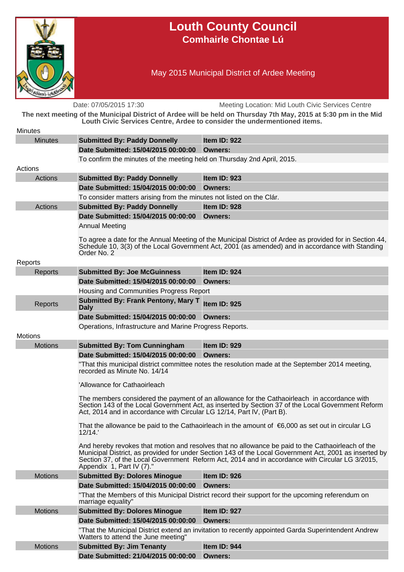

## **Louth County Council Comhairle Chontae Lú**

May 2015 Municipal District of Ardee Meeting

Date: 07/05/2015 17:30 Meeting Location: Mid Louth Civic Services Centre **The next meeting of the Municipal District of Ardee will be held on Thursday 7th May, 2015 at 5:30 pm in the Mid Louth Civic Services Centre, Ardee to consider the undermentioned items. Minutes** Minutes **Submitted By: Paddy Donnelly Item ID: 922 Date Submitted: 15/04/2015 00:00:00 Owners:** To confirm the minutes of the meeting held on Thursday 2nd April, 2015. Actions Actions **Submitted By: Paddy Donnelly Item ID: 923 Date Submitted: 15/04/2015 00:00:00 Owners:** To consider matters arising from the minutes not listed on the Clár. Actions **Submitted By: Paddy Donnelly Item ID: 928 Date Submitted: 15/04/2015 00:00:00 Owners:** Annual Meeting To agree a date for the Annual Meeting of the Municipal District of Ardee as provided for in Section 44, Schedule 10, 3(3) of the Local Government Act, 2001 (as amended) and in accordance with Standing Order No. 2 Reports Reports **Submitted By: Joe McGuinness Item ID: 924 Date Submitted: 15/04/2015 00:00:00 Owners:** Housing and Communities Progress Report Reports **Submitted By: Frank Pentony, Mary T Daly Item ID: 925 Date Submitted: 15/04/2015 00:00:00 Owners:** Operations, Infrastructure and Marine Progress Reports. **Motions** Motions **Submitted By: Tom Cunningham Item ID: 929 Date Submitted: 15/04/2015 00:00:00 Owners:** "That this municipal district committee notes the resolution made at the September 2014 meeting, recorded as Minute No. 14/14 'Allowance for Cathaoirleach The members considered the payment of an allowance for the Cathaoirleach in accordance with Section 143 of the Local Government Act, as inserted by Section 37 of the Local Government Reform Act, 2014 and in accordance with Circular LG 12/14, Part lV, (Part B). That the allowance be paid to the Cathaoirleach in the amount of €6,000 as set out in circular LG 12/14.' And hereby revokes that motion and resolves that no allowance be paid to the Cathaoirleach of the Municipal District, as provided for under Section 143 of the Local Government Act, 2001 as inserted by Section 37, of the Local Government Reform Act, 2014 and in accordance with Circular LG 3/2015, Appendix 1, Part IV (7)." Motions **Submitted By: Dolores Minogue Item ID: 926 Date Submitted: 15/04/2015 00:00:00 Owners:** "That the Members of this Municipal District record their support for the upcoming referendum on marriage equality" Motions **Submitted By: Dolores Minogue Item ID: 927 Date Submitted: 15/04/2015 00:00:00 Owners:** "That the Municipal District extend an invitation to recently appointed Garda Superintendent Andrew Watters to attend the June meeting" Motions **Submitted By: Jim Tenanty Item ID: 944 Date Submitted: 21/04/2015 00:00:00 Owners:**